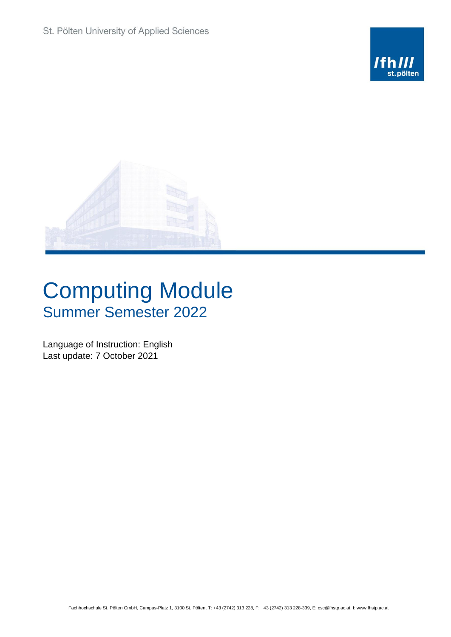



## Computing Module Summer Semester 2022

Language of Instruction: English Last update: 7 October 2021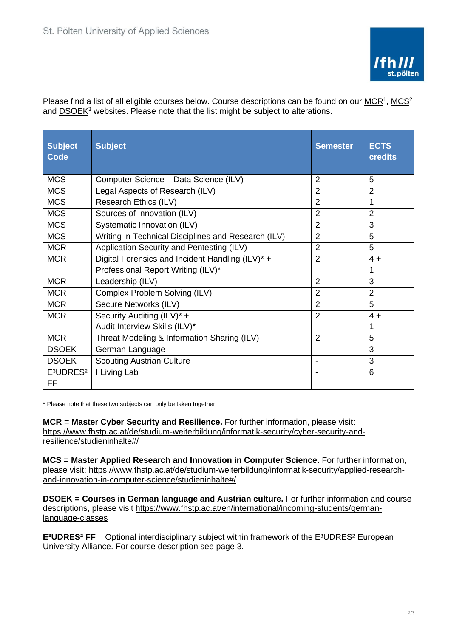

Please find a list of all eligible courses below. Course descriptions can be found on our  $MCR<sup>1</sup>$ ,  $MCS<sup>2</sup>$ and [DSOEK](https://www.fhstp.ac.at/en/international/incoming-students/german-language-classes)<sup>3</sup> websites. Please note that the list might be subject to alterations.

| <b>Subject</b><br><b>Code</b>                  | <b>Subject</b>                                      | <b>Semester</b> | <b>ECTS</b><br><b>credits</b> |
|------------------------------------------------|-----------------------------------------------------|-----------------|-------------------------------|
| <b>MCS</b>                                     | Computer Science - Data Science (ILV)               | $\overline{2}$  | 5                             |
| <b>MCS</b>                                     | Legal Aspects of Research (ILV)                     | $\overline{2}$  | $\overline{2}$                |
| <b>MCS</b>                                     | Research Ethics (ILV)                               | $\overline{2}$  | 1                             |
| <b>MCS</b>                                     | Sources of Innovation (ILV)                         | $\overline{2}$  | $\overline{2}$                |
| <b>MCS</b>                                     | Systematic Innovation (ILV)                         | $\overline{2}$  | 3                             |
| <b>MCS</b>                                     | Writing in Technical Disciplines and Research (ILV) | $\overline{2}$  | 5                             |
| <b>MCR</b>                                     | Application Security and Pentesting (ILV)           | $\overline{2}$  | 5                             |
| <b>MCR</b>                                     | Digital Forensics and Incident Handling (ILV)* +    | $\overline{2}$  | $4 +$                         |
|                                                | Professional Report Writing (ILV)*                  |                 | 1                             |
| <b>MCR</b>                                     | Leadership (ILV)                                    | $\overline{2}$  | 3                             |
| <b>MCR</b>                                     | Complex Problem Solving (ILV)                       | $\overline{2}$  | $\overline{2}$                |
| <b>MCR</b>                                     | Secure Networks (ILV)                               | $\overline{2}$  | 5                             |
| <b>MCR</b>                                     | Security Auditing (ILV)* +                          | $\overline{2}$  | $4 +$                         |
|                                                | Audit Interview Skills (ILV)*                       |                 | 1                             |
| <b>MCR</b>                                     | Threat Modeling & Information Sharing (ILV)         | $\overline{2}$  | 5                             |
| <b>DSOEK</b>                                   | German Language                                     | $\blacksquare$  | 3                             |
| <b>DSOEK</b>                                   | <b>Scouting Austrian Culture</b>                    |                 | 3                             |
| E <sup>3</sup> UDRES <sup>2</sup><br><b>FF</b> | I Living Lab                                        |                 | 6                             |

\* Please note that these two subjects can only be taken together

**MCR = Master Cyber Security and Resilience.** For further information, please visit: [https://www.fhstp.ac.at/de/studium-weiterbildung/informatik-security/cyber-security-and](https://www.fhstp.ac.at/de/studium-weiterbildung/informatik-security/cyber-security-and-resilience/studieninhalte#/)[resilience/studieninhalte#/](https://www.fhstp.ac.at/de/studium-weiterbildung/informatik-security/cyber-security-and-resilience/studieninhalte#/)

**MCS = Master Applied Research and Innovation in Computer Science.** For further information, please visit: [https://www.fhstp.ac.at/de/studium-weiterbildung/informatik-security/applied-research](https://www.fhstp.ac.at/de/studium-weiterbildung/informatik-security/applied-research-and-innovation-in-computer-science/studieninhalte#/)[and-innovation-in-computer-science/studieninhalte#/](https://www.fhstp.ac.at/de/studium-weiterbildung/informatik-security/applied-research-and-innovation-in-computer-science/studieninhalte#/)

**DSOEK = Courses in German language and Austrian culture.** For further information and course descriptions, please visit [https://www.fhstp.ac.at/en/international/incoming-students/german](https://www.fhstp.ac.at/en/international/incoming-students/german-language-classes)[language-classes](https://www.fhstp.ac.at/en/international/incoming-students/german-language-classes)

**E<sup>3</sup>UDRES<sup>2</sup> FF** = Optional interdisciplinary subject within framework of the E<sup>3</sup>UDRES<sup>2</sup> European University Alliance. For course description see page 3.